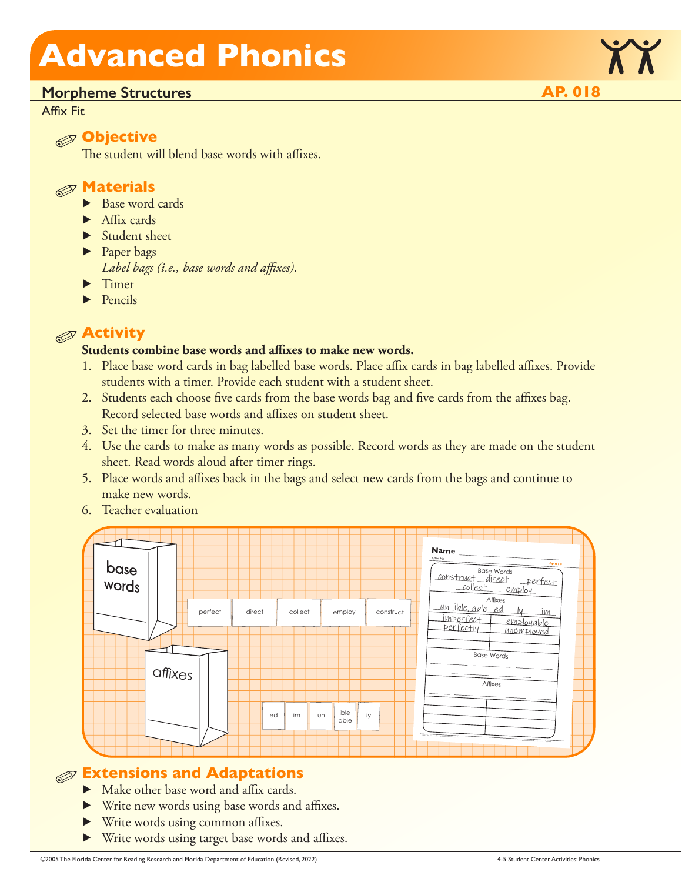### **Morpheme Structures AP. 018**

### Affix Fit



The student will blend base words with affixes.



- ▶ Base word cards
- ▶ Affix cards
- ▶ Student sheet
- ▶ Paper bags *Label bags (i.e., base words and affixes).*
- ▶ Timer
- ▶ Pencils

### **Activity**

### **Students combine base words and affixes to make new words.**

- 1. Place base word cards in bag labelled base words. Place affix cards in bag labelled affixes. Provide students with a timer. Provide each student with a student sheet.
- 2. Students each choose five cards from the base words bag and five cards from the affixes bag. Record selected base words and affixes on student sheet.
- 3. Set the timer for three minutes.
- 4. Use the cards to make as many words as possible. Record words as they are made on the student sheet. Read words aloud after timer rings.
- 5. Place words and affixes back in the bags and select new cards from the bags and continue to make new words.
- 6. Teacher evaluation



### **Extensions and Adaptations**

- ▶ Make other base word and affix cards.
- ▶ Write new words using base words and affixes.
- ▶ Write words using common affixes.
- ▶ Write words using target base words and affixes.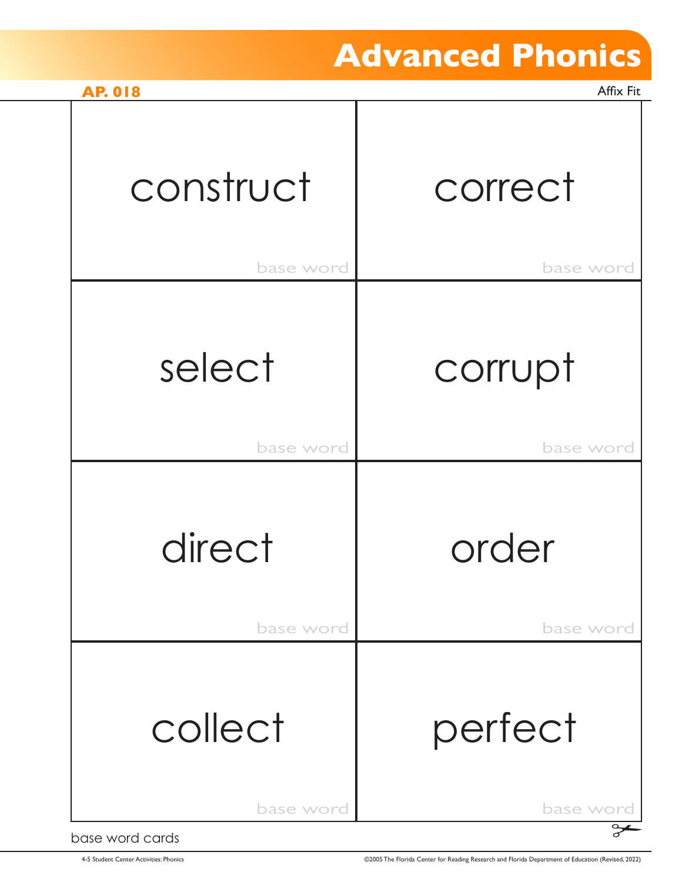| <b>AP. 018</b>  | Affix Fit |
|-----------------|-----------|
| construct       | correct   |
| base word       | base word |
| select          | corrupt   |
| base word       | base word |
| direct          | order     |
| base word       | base word |
| collect         | perfect   |
| base word       | base word |
| base word cards |           |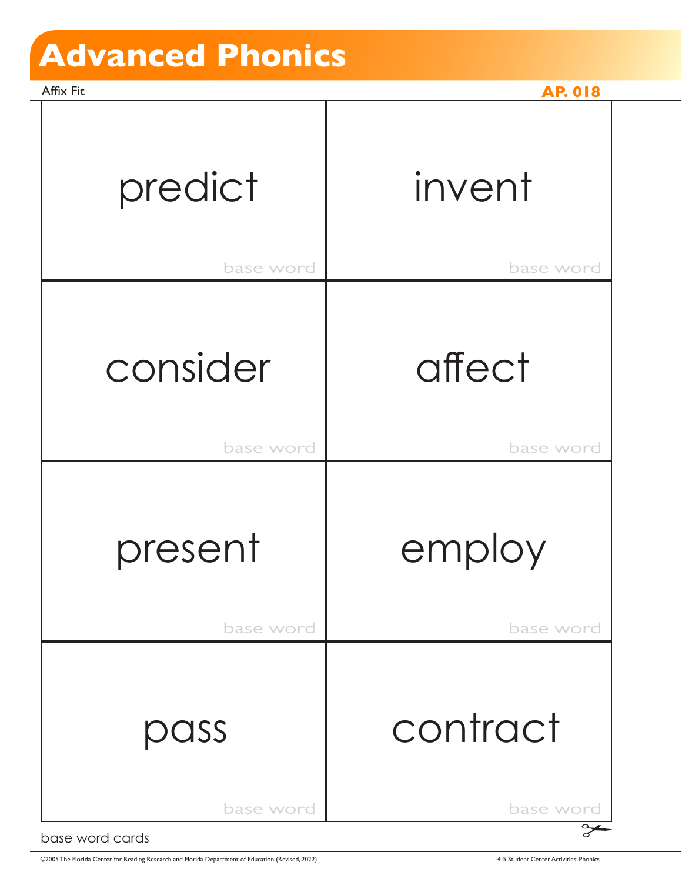Affix Fit **AP. 018** base word **base** word base word **base** word base word **base** word base word and base word predict consider invent affect present | employ pass contract

base word cards

©2005 The Florida Center for Reading Research and Florida Department of Education (Revised, 2022) 4-5 Student Center Activities: Phonics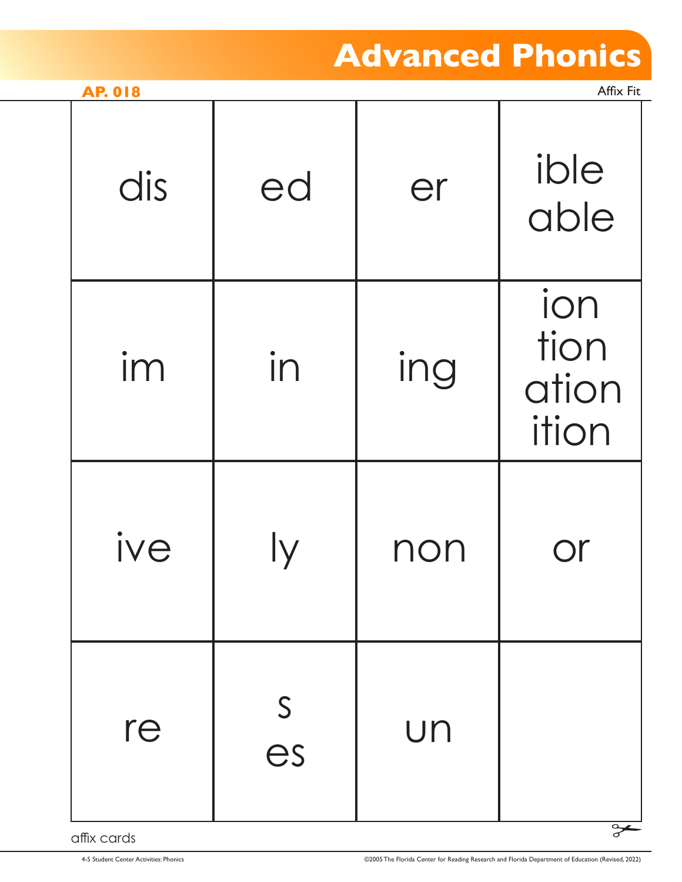| <b>AP. 018</b> |                    |     | Affix Fit                     |
|----------------|--------------------|-----|-------------------------------|
| dis            | ed                 | er  | ible<br>able                  |
| im             | in                 | ing | ion<br>tion<br>ation<br>ition |
| ive            |                    | non |                               |
| re             | $\mathsf{S}$<br>es | UN  |                               |

affix cards

σ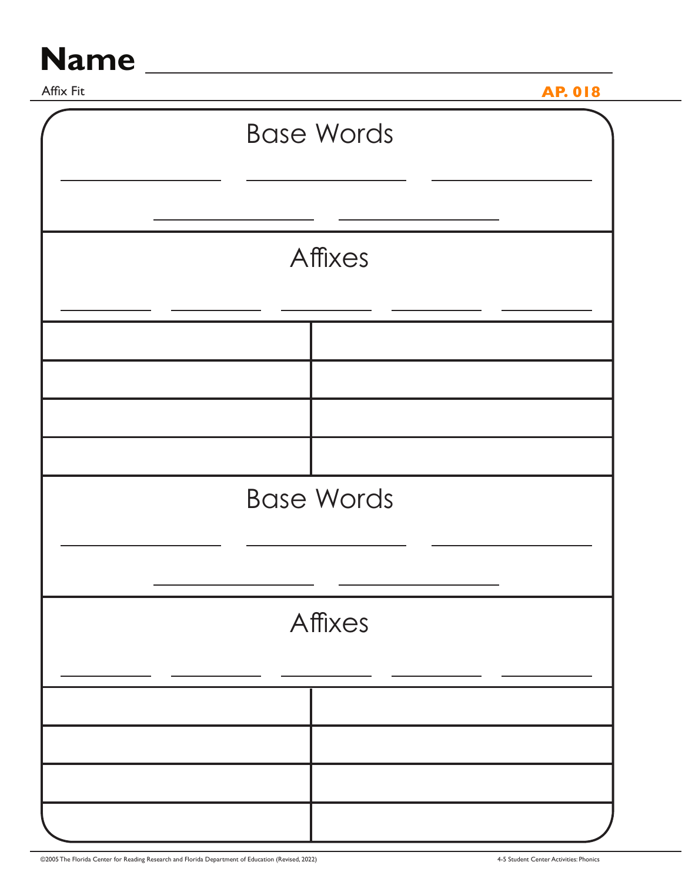# Name

Affix Fit **AP. 018 Base Words** Affixes **Base Words** Affixes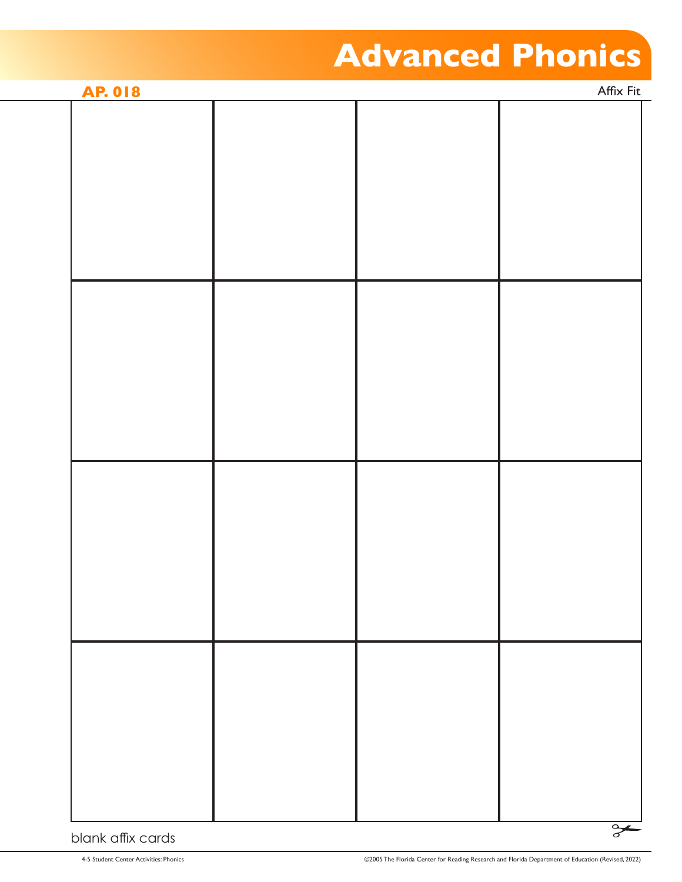| <b>AP. 018</b> |  | Affix Fit |               |
|----------------|--|-----------|---------------|
|                |  |           |               |
|                |  |           |               |
|                |  |           |               |
|                |  |           |               |
|                |  |           |               |
|                |  |           |               |
|                |  |           |               |
|                |  |           |               |
|                |  |           |               |
|                |  |           |               |
|                |  |           |               |
|                |  |           |               |
|                |  |           |               |
|                |  |           |               |
|                |  |           |               |
|                |  |           |               |
|                |  |           |               |
|                |  |           |               |
|                |  |           |               |
|                |  |           |               |
|                |  |           |               |
|                |  |           |               |
|                |  |           |               |
|                |  |           |               |
|                |  |           | $\rightarrow$ |

#### blank affix cards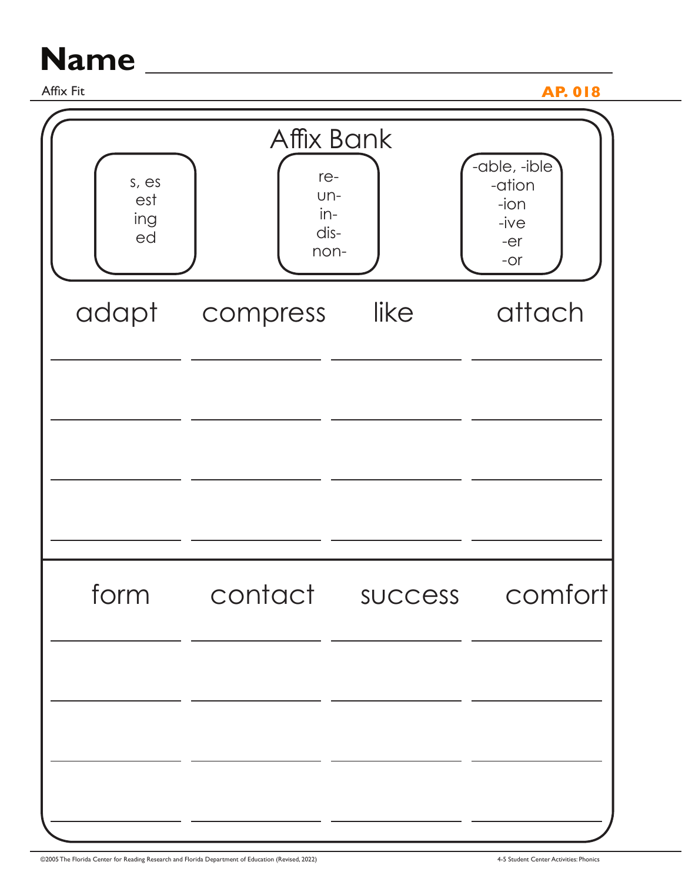# **Name**

Affix Fit

**AP. 018** 

| s, es<br>est<br>ing<br>ed | Affix Bank<br>re-<br>$Un-$<br>$in$ -<br>dis-<br>non- |                | -able, -ible<br>-ation<br>$-i$ on<br>-ive<br>$-er$<br>$-OT$ |
|---------------------------|------------------------------------------------------|----------------|-------------------------------------------------------------|
| adapt                     | compress                                             | like           | attach                                                      |
|                           |                                                      |                |                                                             |
| form                      | contact                                              | <b>SUCCESS</b> | comfortl                                                    |
|                           |                                                      |                |                                                             |

<u> 1989 - Johann Stein, marwolaethau a bhann an t-Amhainn an t-Amhainn an t-Amhainn an t-Amhainn an t-Amhainn a</u>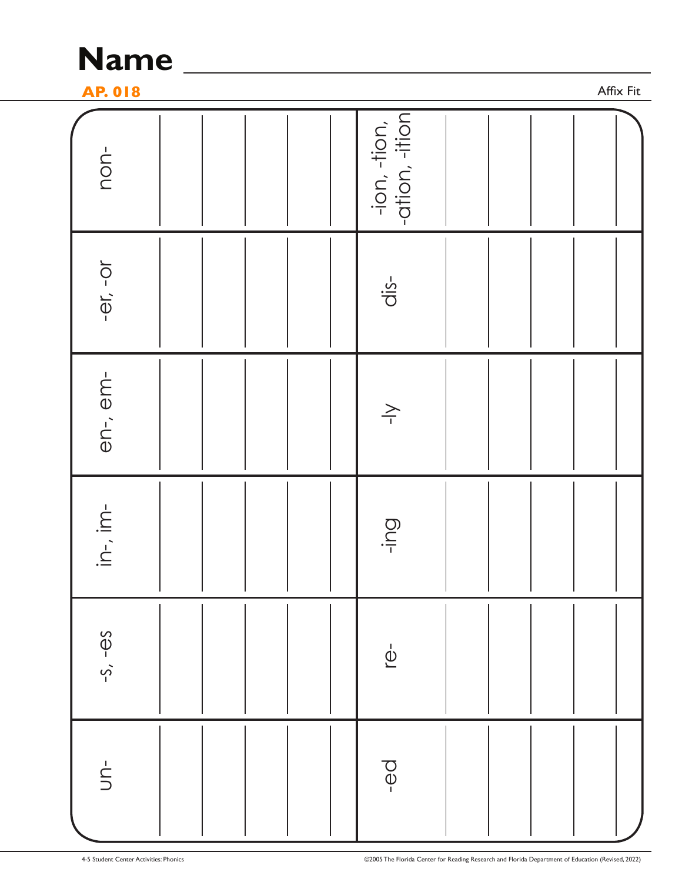

**AP. 018 AP. 018** 

Affix Fit

| non-             | -ion, -tion,<br> -ation, -ition         |
|------------------|-----------------------------------------|
| $-er - or$       | $dis-$                                  |
| en-, em-         | $\overbrace{\phantom{a}}^{\phantom{a}}$ |
| $in-, im$        | Dul-                                    |
| $-S, -\theta S$  | $\overline{\mathbb{Q}}$                 |
| $\frac{1}{\sum}$ | $\overline{\Theta}$                     |